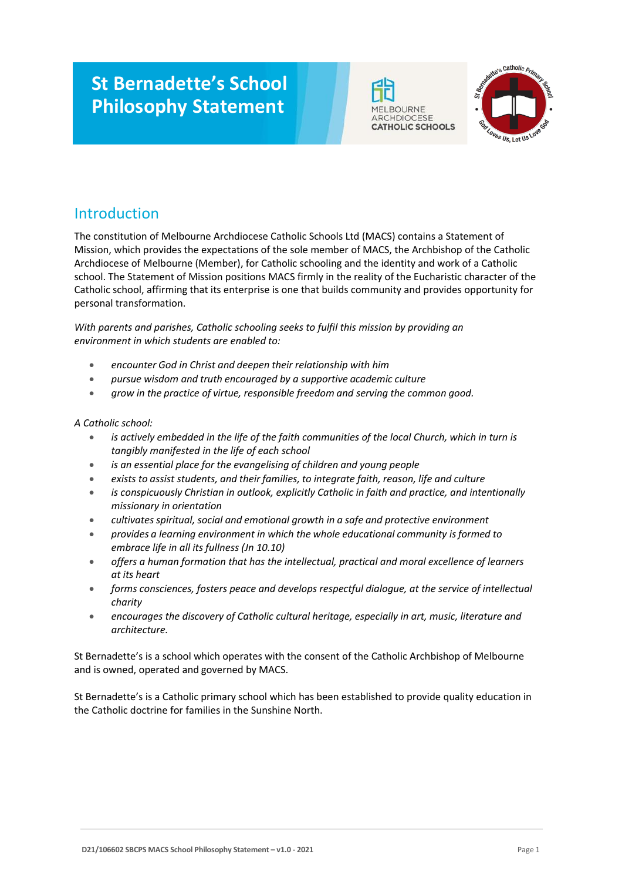# **St Bernadette's School Philosophy Statement**





# Introduction

The constitution of Melbourne Archdiocese Catholic Schools Ltd (MACS) contains a Statement of Mission, which provides the expectations of the sole member of MACS, the Archbishop of the Catholic Archdiocese of Melbourne (Member), for Catholic schooling and the identity and work of a Catholic school. The Statement of Mission positions MACS firmly in the reality of the Eucharistic character of the Catholic school, affirming that its enterprise is one that builds community and provides opportunity for personal transformation.

*With parents and parishes, Catholic schooling seeks to fulfil this mission by providing an environment in which students are enabled to:*

- *encounter God in Christ and deepen their relationship with him*
- *pursue wisdom and truth encouraged by a supportive academic culture*
- *grow in the practice of virtue, responsible freedom and serving the common good.*

#### *A Catholic school:*

- *is actively embedded in the life of the faith communities of the local Church, which in turn is tangibly manifested in the life of each school*
- *is an essential place for the evangelising of children and young people*
- *exists to assist students, and their families, to integrate faith, reason, life and culture*
- *is conspicuously Christian in outlook, explicitly Catholic in faith and practice, and intentionally missionary in orientation*
- *cultivates spiritual, social and emotional growth in a safe and protective environment*
- *provides a learning environment in which the whole educational community isformed to embrace life in all its fullness (Jn 10.10)*
- *offers a human formation that has the intellectual, practical and moral excellence of learners at its heart*
- *forms consciences, fosters peace and develops respectful dialogue, at the service of intellectual charity*
- *encourages the discovery of Catholic cultural heritage, especially in art, music, literature and architecture.*

St Bernadette's is a school which operates with the consent of the Catholic Archbishop of Melbourne and is owned, operated and governed by MACS.

St Bernadette's is a Catholic primary school which has been established to provide quality education in the Catholic doctrine for families in the Sunshine North.